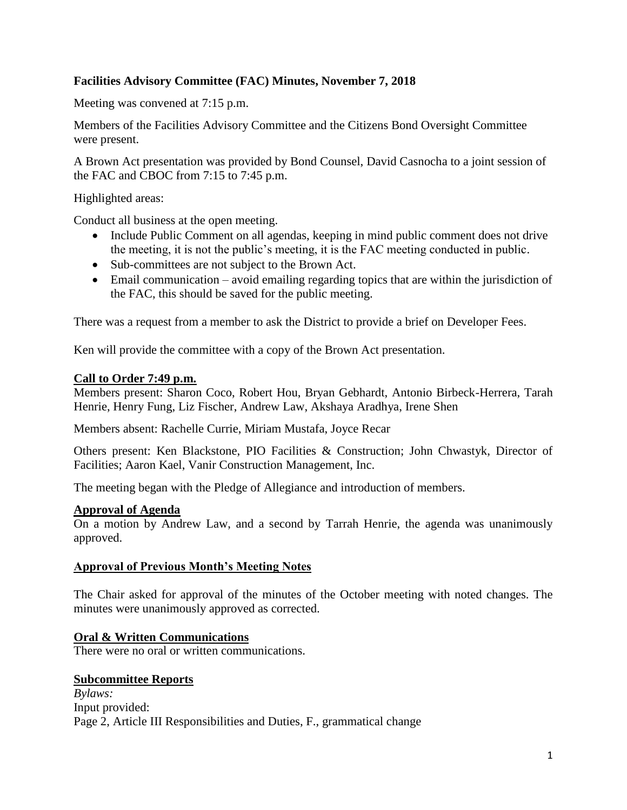# **Facilities Advisory Committee (FAC) Minutes, November 7, 2018**

Meeting was convened at 7:15 p.m.

Members of the Facilities Advisory Committee and the Citizens Bond Oversight Committee were present.

A Brown Act presentation was provided by Bond Counsel, David Casnocha to a joint session of the FAC and CBOC from 7:15 to 7:45 p.m.

Highlighted areas:

Conduct all business at the open meeting.

- Include Public Comment on all agendas, keeping in mind public comment does not drive the meeting, it is not the public's meeting, it is the FAC meeting conducted in public.
- Sub-committees are not subject to the Brown Act.
- Email communication avoid emailing regarding topics that are within the jurisdiction of the FAC, this should be saved for the public meeting.

There was a request from a member to ask the District to provide a brief on Developer Fees.

Ken will provide the committee with a copy of the Brown Act presentation.

## **Call to Order 7:49 p.m.**

Members present: Sharon Coco, Robert Hou, Bryan Gebhardt, Antonio Birbeck-Herrera, Tarah Henrie, Henry Fung, Liz Fischer, Andrew Law, Akshaya Aradhya, Irene Shen

Members absent: Rachelle Currie, Miriam Mustafa, Joyce Recar

Others present: Ken Blackstone, PIO Facilities & Construction; John Chwastyk, Director of Facilities; Aaron Kael, Vanir Construction Management, Inc.

The meeting began with the Pledge of Allegiance and introduction of members.

### **Approval of Agenda**

On a motion by Andrew Law, and a second by Tarrah Henrie, the agenda was unanimously approved.

### **Approval of Previous Month's Meeting Notes**

The Chair asked for approval of the minutes of the October meeting with noted changes. The minutes were unanimously approved as corrected.

# **Oral & Written Communications**

There were no oral or written communications.

### **Subcommittee Reports**

*Bylaws:* Input provided: Page 2, Article III Responsibilities and Duties, F., grammatical change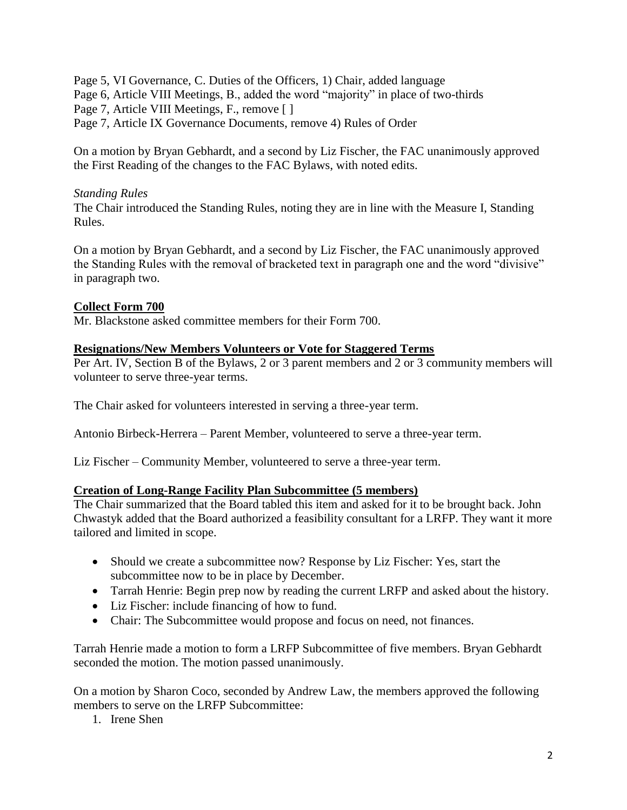Page 5, VI Governance, C. Duties of the Officers, 1) Chair, added language Page 6, Article VIII Meetings, B., added the word "majority" in place of two-thirds Page 7, Article VIII Meetings, F., remove [ ] Page 7, Article IX Governance Documents, remove 4) Rules of Order

On a motion by Bryan Gebhardt, and a second by Liz Fischer, the FAC unanimously approved the First Reading of the changes to the FAC Bylaws, with noted edits.

# *Standing Rules*

The Chair introduced the Standing Rules, noting they are in line with the Measure I, Standing Rules.

On a motion by Bryan Gebhardt, and a second by Liz Fischer, the FAC unanimously approved the Standing Rules with the removal of bracketed text in paragraph one and the word "divisive" in paragraph two.

# **Collect Form 700**

Mr. Blackstone asked committee members for their Form 700.

## **Resignations/New Members Volunteers or Vote for Staggered Terms**

Per Art. IV, Section B of the Bylaws, 2 or 3 parent members and 2 or 3 community members will volunteer to serve three-year terms.

The Chair asked for volunteers interested in serving a three-year term.

Antonio Birbeck-Herrera – Parent Member, volunteered to serve a three-year term.

Liz Fischer – Community Member, volunteered to serve a three-year term.

### **Creation of Long-Range Facility Plan Subcommittee (5 members)**

The Chair summarized that the Board tabled this item and asked for it to be brought back. John Chwastyk added that the Board authorized a feasibility consultant for a LRFP. They want it more tailored and limited in scope.

- Should we create a subcommittee now? Response by Liz Fischer: Yes, start the subcommittee now to be in place by December.
- Tarrah Henrie: Begin prep now by reading the current LRFP and asked about the history.
- Liz Fischer: include financing of how to fund.
- Chair: The Subcommittee would propose and focus on need, not finances.

Tarrah Henrie made a motion to form a LRFP Subcommittee of five members. Bryan Gebhardt seconded the motion. The motion passed unanimously.

On a motion by Sharon Coco, seconded by Andrew Law, the members approved the following members to serve on the LRFP Subcommittee:

1. Irene Shen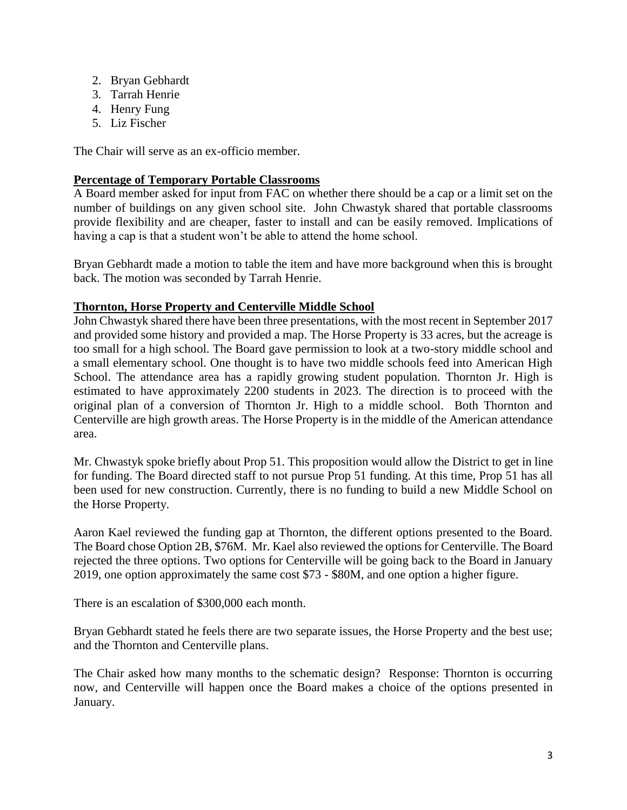- 2. Bryan Gebhardt
- 3. Tarrah Henrie
- 4. Henry Fung
- 5. Liz Fischer

The Chair will serve as an ex-officio member.

## **Percentage of Temporary Portable Classrooms**

A Board member asked for input from FAC on whether there should be a cap or a limit set on the number of buildings on any given school site. John Chwastyk shared that portable classrooms provide flexibility and are cheaper, faster to install and can be easily removed. Implications of having a cap is that a student won't be able to attend the home school.

Bryan Gebhardt made a motion to table the item and have more background when this is brought back. The motion was seconded by Tarrah Henrie.

## **Thornton, Horse Property and Centerville Middle School**

John Chwastyk shared there have been three presentations, with the most recent in September 2017 and provided some history and provided a map. The Horse Property is 33 acres, but the acreage is too small for a high school. The Board gave permission to look at a two-story middle school and a small elementary school. One thought is to have two middle schools feed into American High School. The attendance area has a rapidly growing student population. Thornton Jr. High is estimated to have approximately 2200 students in 2023. The direction is to proceed with the original plan of a conversion of Thornton Jr. High to a middle school. Both Thornton and Centerville are high growth areas. The Horse Property is in the middle of the American attendance area.

Mr. Chwastyk spoke briefly about Prop 51. This proposition would allow the District to get in line for funding. The Board directed staff to not pursue Prop 51 funding. At this time, Prop 51 has all been used for new construction. Currently, there is no funding to build a new Middle School on the Horse Property.

Aaron Kael reviewed the funding gap at Thornton, the different options presented to the Board. The Board chose Option 2B, \$76M. Mr. Kael also reviewed the options for Centerville. The Board rejected the three options. Two options for Centerville will be going back to the Board in January 2019, one option approximately the same cost \$73 - \$80M, and one option a higher figure.

There is an escalation of \$300,000 each month.

Bryan Gebhardt stated he feels there are two separate issues, the Horse Property and the best use; and the Thornton and Centerville plans.

The Chair asked how many months to the schematic design? Response: Thornton is occurring now, and Centerville will happen once the Board makes a choice of the options presented in January.